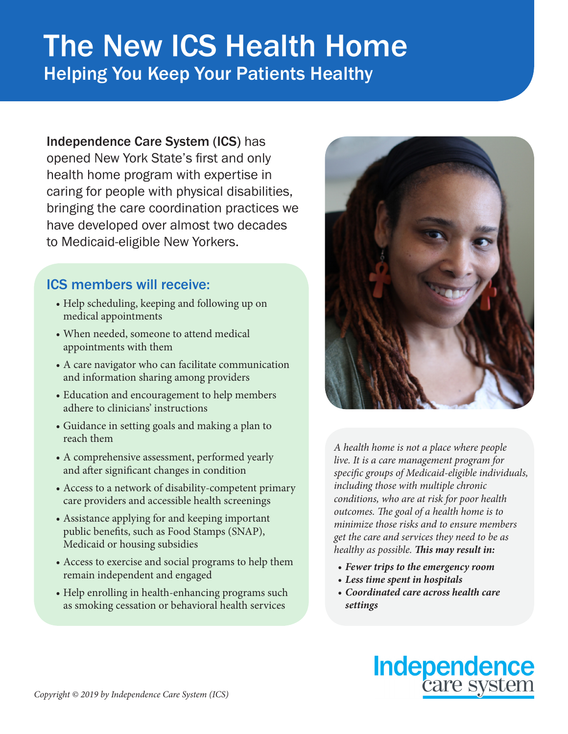## The New ICS Health Home Helping You Keep Your Patients Healthy

Independence Care System (ICS) has opened New York State's first and only health home program with expertise in caring for people with physical disabilities, bringing the care coordination practices we have developed over almost two decades to Medicaid-eligible New Yorkers.

## ICS members will receive:

- Help scheduling, keeping and following up on medical appointments
- When needed, someone to attend medical appointments with them
- A care navigator who can facilitate communication and information sharing among providers
- Education and encouragement to help members adhere to clinicians' instructions
- Guidance in setting goals and making a plan to reach them
- A comprehensive assessment, performed yearly and after significant changes in condition
- Access to a network of disability-competent primary care providers and accessible health screenings
- Assistance applying for and keeping important public benefits, such as Food Stamps (SNAP), Medicaid or housing subsidies
- Access to exercise and social programs to help them remain independent and engaged
- Help enrolling in health-enhancing programs such as smoking cessation or behavioral health services



*A health home is not a place where people live. It is a care management program for specific groups of Medicaid-eligible individuals, including those with multiple chronic conditions, who are at risk for poor health outcomes. The goal of a health home is to minimize those risks and to ensure members get the care and services they need to be as healthy as possible. This may result in:* 

- *• Fewer trips to the emergency room*
- *• Less time spent in hospitals*
- *• Coordinated care across health care settings*